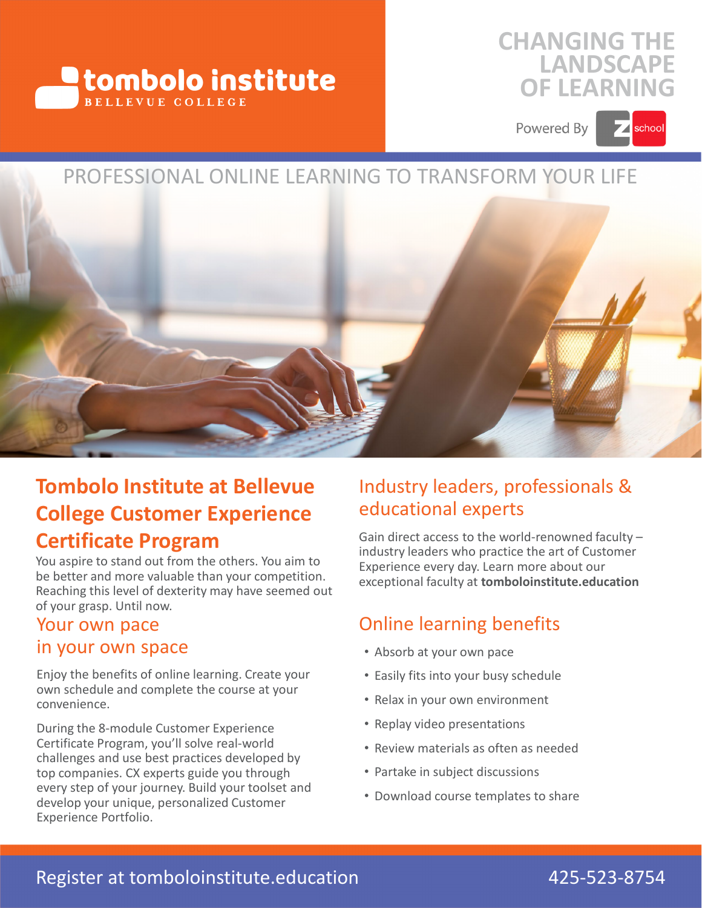

### **CHANGING THE LANDSCAPE OF LEARNING**

Powered By

## **Z** school

## PROFESSIONAL ONLINE LEARNING TO TRANSFORM YOUR LIFE



## **Tombolo Institute at Bellevue College Customer Experience Certificate Program**

You aspire to stand out from the others. You aim to be better and more valuable than your competition. Reaching this level of dexterity may have seemed out of your grasp. Until now.

### Your own pace in your own space

Enjoy the benefits of online learning. Create your own schedule and complete the course at your convenience.

During the 8-module Customer Experience Certificate Program, you'll solve real-world challenges and use best practices developed by top companies. CX experts guide you through every step of your journey. Build your toolset and develop your unique, personalized Customer Experience Portfolio.

### Industry leaders, professionals & educational experts

Gain direct access to the world-renowned faculty – industry leaders who practice the art of Customer Experience every day. Learn more about our exceptional faculty at **tomboloinstitute.education**

## Online learning benefits

- Absorb at your own pace
- Easily fits into your busy schedule
- Relax in your own environment
- Replay video presentations
- Review materials as often as needed
- Partake in subject discussions
- Download course templates to share

### Register at tomboloinstitute.education

### 425-523-8754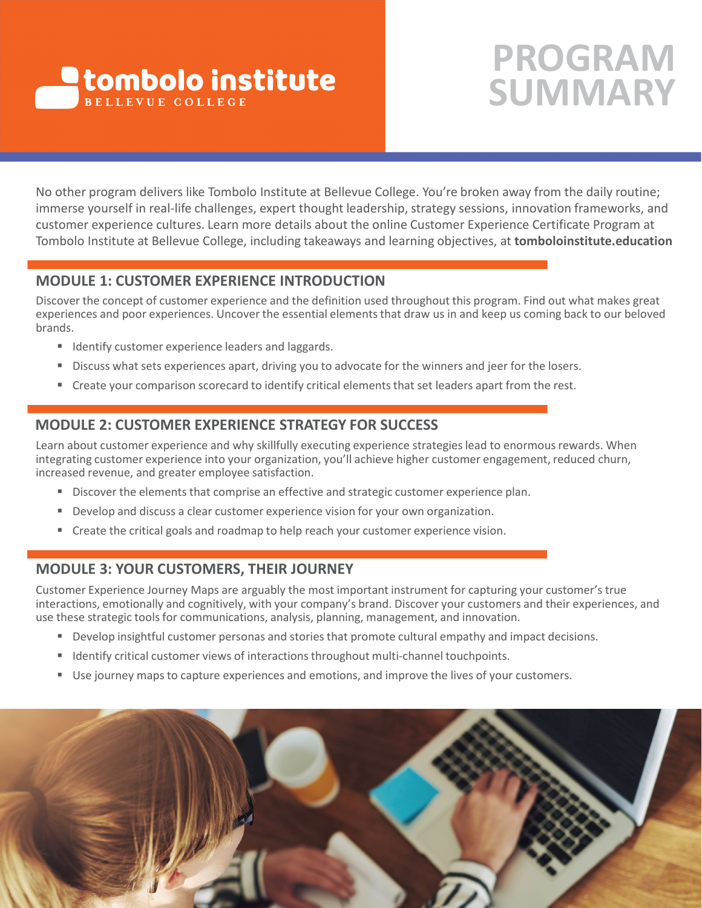

## **PROGRAM SUMMARY**

No other program delivers like Tombolo Institute at Bellevue College. You're broken away from the daily routine; immerse yourself in real-life challenges, expert thought leadership, strategy sessions, innovation frameworks, and customer experience cultures. Learn more details about the online Customer Experience Certificate Program at Tombolo Institute at Bellevue College, including takeaways and learning objectives, at **tomboloinstitute.education**

### **MODULE 1: CUSTOMER EXPERIENCE INTRODUCTION**

Discover the concept of customer experience and the definition used throughout this program. Find out what makes great experiences and poor experiences. Uncover the essential elements that draw us in and keep us coming back to our beloved brands.

- **I** Identify customer experience leaders and laggards.
- Discuss what sets experiences apart, driving you to advocate for the winners and jeer for the losers.
- Create your comparison scorecard to identify critical elements that set leaders apart from the rest.

### **MODULE 2: CUSTOMER EXPERIENCE STRATEGY FOR SUCCESS**

Learn about customer experience and why skillfully executing experience strategies lead to enormous rewards. When integrating customer experience into your organization, you'll achieve higher customer engagement, reduced churn, increased revenue, and greater employee satisfaction.

- Discover the elements that comprise an effective and strategic customer experience plan.
- Develop and discuss a clear customer experience vision for your own organization.
- **Create the critical goals and roadmap to help reach your customer experience vision.**

### **MODULE 3: YOUR CUSTOMERS, THEIR JOURNEY**

Customer Experience Journey Maps are arguably the most important instrument for capturing your customer's true interactions, emotionally and cognitively, with your company's brand. Discover your customers and their experiences, and use these strategic tools for communications, analysis, planning, management, and innovation.

- **Develop insightful customer personas and stories that promote cultural empathy and impact decisions.**
- Identify critical customer views of interactions throughout multi-channel touchpoints.
- Use journey maps to capture experiences and emotions, and improve the lives of your customers.

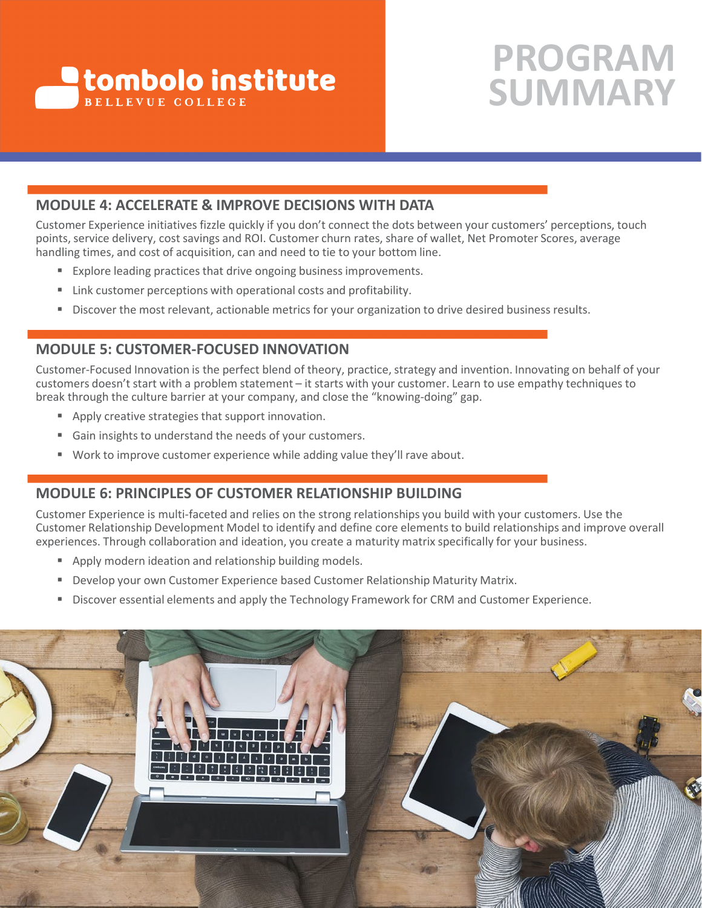

## **PROGRAM SUMMARY**

### **MODULE 4: ACCELERATE & IMPROVE DECISIONS WITH DATA**

Customer Experience initiatives fizzle quickly if you don't connect the dots between your customers' perceptions, touch points, service delivery, cost savings and ROI. Customer churn rates, share of wallet, Net Promoter Scores, average handling times, and cost of acquisition, can and need to tie to your bottom line.

- Explore leading practices that drive ongoing business improvements.
- Link customer perceptions with operational costs and profitability.
- **Discover the most relevant, actionable metrics for your organization to drive desired business results.**

### **MODULE 5: CUSTOMER-FOCUSED INNOVATION**

Customer-Focused Innovation is the perfect blend of theory, practice, strategy and invention. Innovating on behalf of your customers doesn't start with a problem statement – it starts with your customer. Learn to use empathy techniques to break through the culture barrier at your company, and close the "knowing-doing" gap.

- **Apply creative strategies that support innovation.**
- Gain insights to understand the needs of your customers.
- Work to improve customer experience while adding value they'll rave about.

### **MODULE 6: PRINCIPLES OF CUSTOMER RELATIONSHIP BUILDING**

Customer Experience is multi-faceted and relies on the strong relationships you build with your customers. Use the Customer Relationship Development Model to identify and define core elements to build relationships and improve overall experiences. Through collaboration and ideation, you create a maturity matrix specifically for your business.

- **Apply modern ideation and relationship building models.**
- **Develop your own Customer Experience based Customer Relationship Maturity Matrix.**
- **Discover essential elements and apply the Technology Framework for CRM and Customer Experience.**

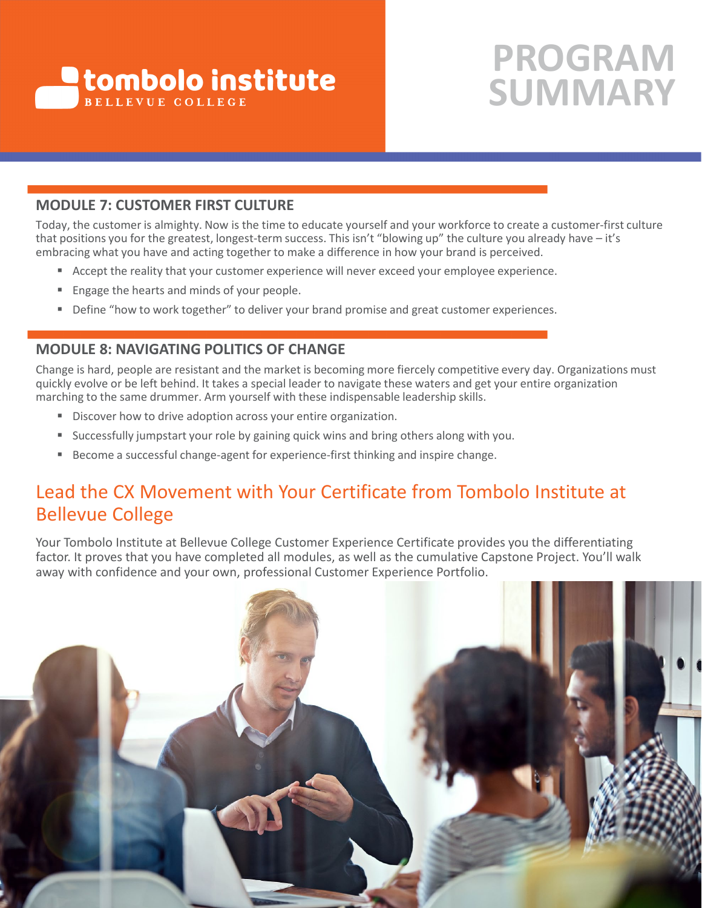

## **PROGRAM SUMMARY**

#### **MODULE 7: CUSTOMER FIRST CULTURE**

Today, the customer is almighty. Now is the time to educate yourself and your workforce to create a customer-first culture that positions you for the greatest, longest-term success. This isn't "blowing up" the culture you already have – it's embracing what you have and acting together to make a difference in how your brand is perceived.

- Accept the reality that your customer experience will never exceed your employee experience.
- **Engage the hearts and minds of your people.**
- **Define "how to work together" to deliver your brand promise and great customer experiences.**

### **MODULE 8: NAVIGATING POLITICS OF CHANGE**

Change is hard, people are resistant and the market is becoming more fiercely competitive every day. Organizations must quickly evolve or be left behind. It takes a special leader to navigate these waters and get your entire organization marching to the same drummer. Arm yourself with these indispensable leadership skills.

- Discover how to drive adoption across your entire organization.
- **Successfully jumpstart your role by gaining quick wins and bring others along with you.**
- Become a successful change-agent for experience-first thinking and inspire change.

### Lead the CX Movement with Your Certificate from Tombolo Institute at Bellevue College

Your Tombolo Institute at Bellevue College Customer Experience Certificate provides you the differentiating factor. It proves that you have completed all modules, as well as the cumulative Capstone Project. You'll walk away with confidence and your own, professional Customer Experience Portfolio.

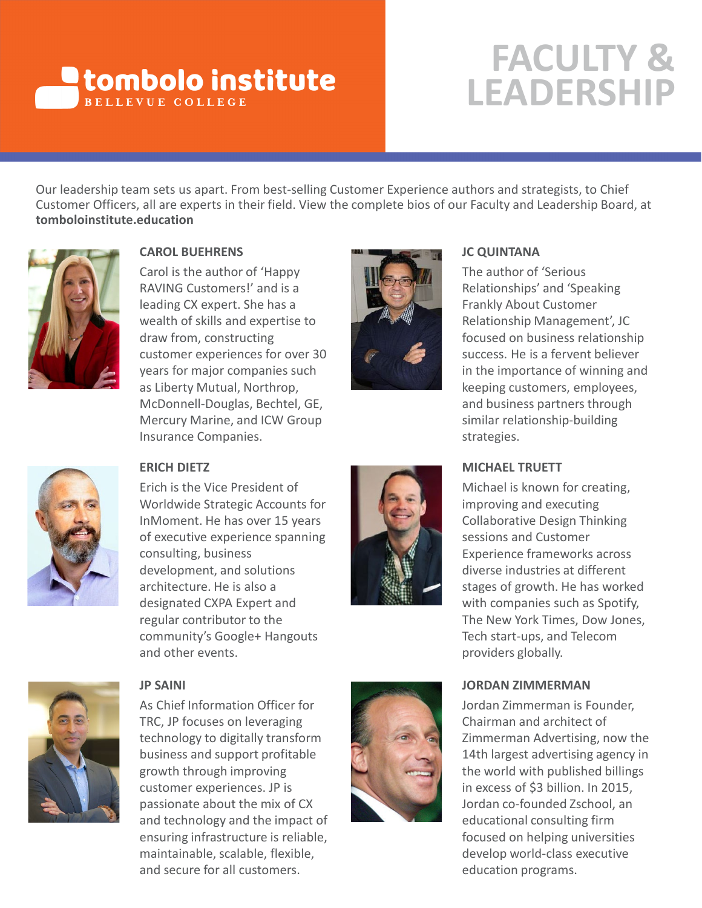# **Combolo institute**

## **FACULTY & LEADERSHIP**

Our leadership team sets us apart. From best-selling Customer Experience authors and strategists, to Chief Customer Officers, all are experts in their field. View the complete bios of our Faculty and Leadership Board, at **tomboloinstitute.education**



### **CAROL BUEHRENS**

Carol is the author of 'Happy RAVING Customers!' and is a leading CX expert. She has a wealth of skills and expertise to draw from, constructing customer experiences for over 30 years for major companies such as Liberty Mutual, Northrop, McDonnell-Douglas, Bechtel, GE, Mercury Marine, and ICW Group Insurance Companies.



### **JC QUINTANA**

The author of 'Serious Relationships' and 'Speaking Frankly About Customer Relationship Management', JC focused on business relationship success. He is a fervent believer in the importance of winning and keeping customers, employees, and business partners through similar relationship-building strategies.

#### **MICHAEL TRUETT**

Michael is known for creating, improving and executing Collaborative Design Thinking sessions and Customer Experience frameworks across diverse industries at different stages of growth. He has worked with companies such as Spotify, The New York Times, Dow Jones, Tech start-ups, and Telecom providers globally.

#### **JORDAN ZIMMERMAN**

Jordan Zimmerman is Founder, Chairman and architect of Zimmerman Advertising, now the 14th largest advertising agency in the world with published billings in excess of \$3 billion. In 2015, Jordan co-founded Zschool, an educational consulting firm focused on helping universities develop world-class executive education programs.



#### **ERICH DIETZ**

Erich is the Vice President of Worldwide Strategic Accounts for InMoment. He has over 15 years of executive experience spanning consulting, business development, and solutions architecture. He is also a designated CXPA Expert and regular contributor to the community's Google+ Hangouts and other events.





#### **JP SAINI**

As Chief Information Officer for TRC, JP focuses on leveraging technology to digitally transform business and support profitable growth through improving customer experiences. JP is passionate about the mix of CX and technology and the impact of ensuring infrastructure is reliable, maintainable, scalable, flexible, and secure for all customers.